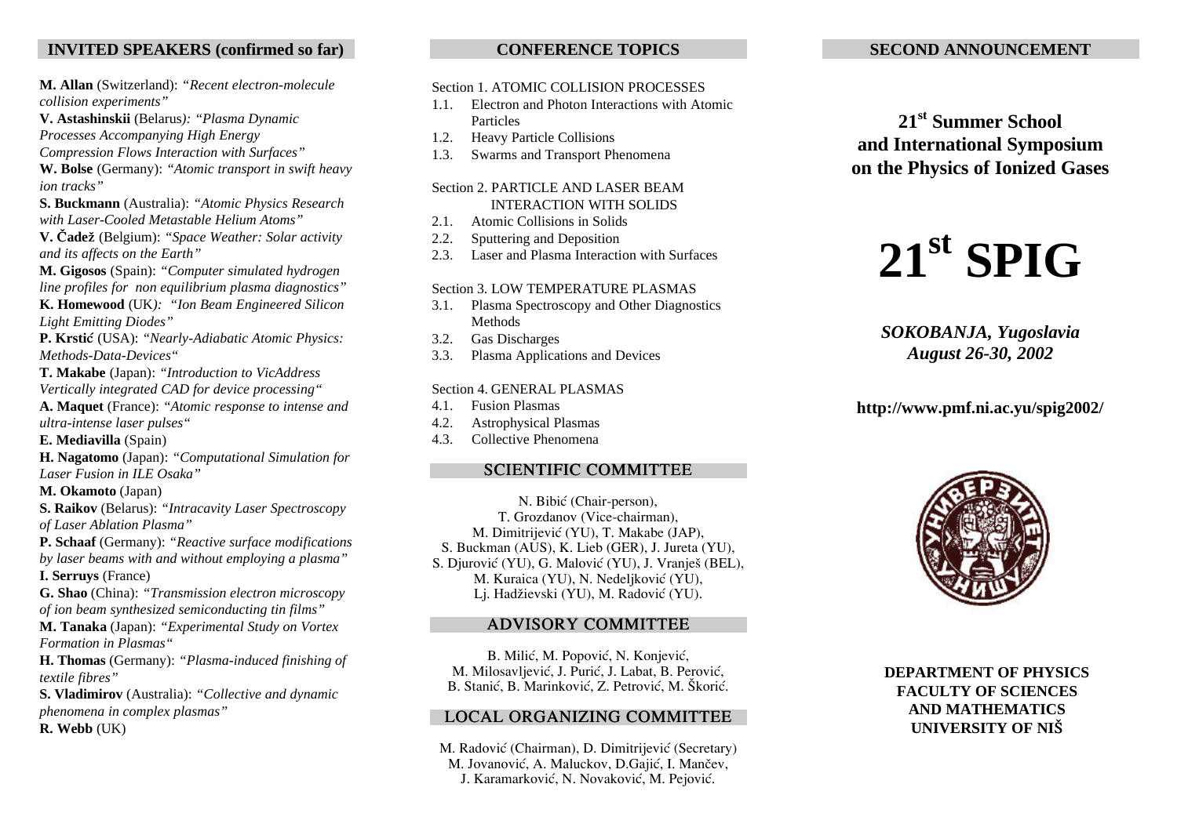# **INVITED SPEAKERS (confirmed so far)**

**M. Allan** (Switzerland): *"Recent electron-molecule collision experiments"*

**V. Astashinskii** (Belarus*): "Plasma Dynamic*

*Processes Accompanying High Energy*

*Compression Flows Interaction with Surfaces"*

**W. Bolse** (Germany): *"Atomic transport in swift heavy ion tracks"*

**S. Buckmann** (Australia): *"Atomic Physics Research with Laser-Cooled Metastable Helium Atoms"*

**V. ^ade`** (Belgium): *"Space Weather: Solar activity and its affects on the Earth"*

**M. Gigosos** (Spain): *"Computer simulated hydrogen line profiles for non equilibrium plasma diagnostics"*

**K. Homewood** (UK*): "Ion Beam Engineered Silicon Light Emitting Diodes"*

**P. Krsti}** (USA): *"Nearly-Adiabatic Atomic Physics: Methods-Data-Devices"*

**T. Makabe** (Japan): *"Introduction to VicAddress Vertically integrated CAD for device processing"*

**A. Maquet** (France): *"Atomic response to intense and ultra-intense laser pulses"*

**E. Mediavilla** (Spain)

**H. Nagatomo** (Japan): *"Computational Simulation for Laser Fusion in ILE Osaka"*

**M. Okamoto** (Japan)

**S. Raikov** (Belarus): *"Intracavity Laser Spectroscopy of Laser Ablation Plasma"*

**P. Schaaf** (Germany): *"Reactive surface modifications by laser beams with and without employing a plasma"* **I. Serruys** (France)

**G. Shao** (China): *"Transmission electron microscopy of ion beam synthesized semiconducting tin films"*

**M. Tanaka** (Japan): *"Experimental Study on Vortex Formation in Plasmas"*

**H. Thomas** (Germany): *"Plasma-induced finishing of textile fibres"*

**S. Vladimirov** (Australia): *"Collective and dynamic phenomena in complex plasmas"* **R. Webb** (UK)

**CONFERENCE TOPICS**

### Section 1. ATOMIC COLLISION PROCESSES

- 1.1. Electron and Photon Interactions with Atomic Particles
- 1.2. Heavy Particle Collisions
- 1.3. Swarms and Transport Phenomena

### Section 2. PARTICLE AND LASER BEAM INTERACTION WITH SOLIDS

- 2.1. Atomic Collisions in Solids
- 2.2. Sputtering and Deposition
- 2.3. Laser and Plasma Interaction with Surfaces

### Section 3. LOW TEMPERATURE PLASMAS

- 3.1. Plasma Spectroscopy and Other Diagnostics Methods
- 3.2. Gas Discharges
- 3.3. Plasma Applications and Devices

### Section 4. GENERAL PLASMAS

- 4.1. Fusion Plasmas
- 4.2. Astrophysical Plasmas
- 4.3. Collective Phenomena

## **SCIENTIFIC COMMITTEE**

N. Bibić (Chair-person), T. Grozdanov (Vice-chairman), M. Dimitrijević (YU), T. Makabe (JAP), S. Buckman (AUS), K. Lieb (GER), J. Jureta (YU), S. Djurović (YU), G. Malović (YU), J. Vranješ (BEL), M. Kuraica (YU), N. Nedeljković (YU), Lj. Hadžievski (YU), M. Radović (YU).

# **ADVISORY COMMITTEE**

B. Milić, M. Popović, N. Konjević, M. Milosavljević, J. Purić, J. Labat, B. Perović, B. Stanić, B. Marinković, Z. Petrović, M. Škorić.

### **LOCAL ORGANIZING COMMITTEE**

M. Radović (Chairman), D. Dimitrijević (Secretary) M. Jovanović, A. Maluckov, D.Gajić, I. Mančev, J. Karamarković, N. Novaković, M. Pejović.

# **SECOND ANNOUNCEMENT**

**21st Summer School and International Symposium on the Physics of Ionized Gases**



*SOKOBANJA, Yugoslavia August 26-30, 2002*

# **http://www.pmf.ni.ac.yu/spig2002/**



**DEPARTMENT OF PHYSICS FACULTY OF SCIENCES AND MATHEMATICS UNIVERSITY OF NI[**